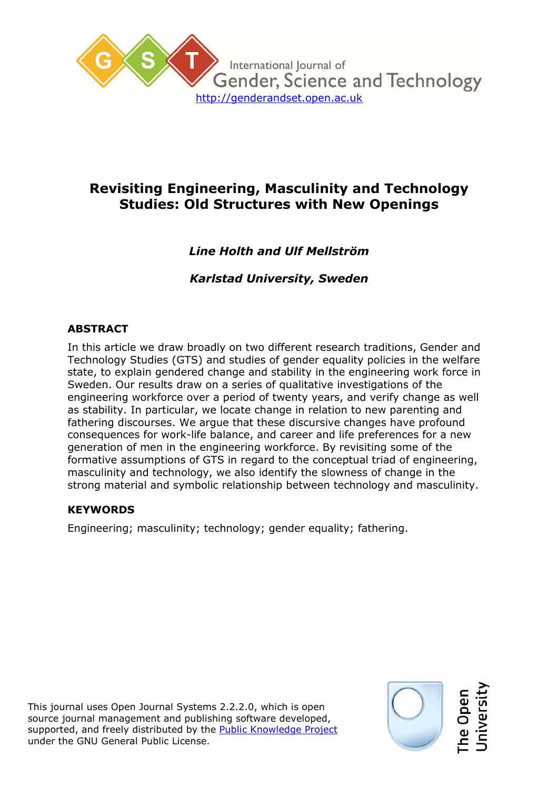

# **Revisiting Engineering, Masculinity and Technology Studies: Old Structures with New Openings**

# *Line Holth and Ulf Mellström*

*Karlstad University, Sweden*

# **ABSTRACT**

In this article we draw broadly on two different research traditions, Gender and Technology Studies (GTS) and studies of gender equality policies in the welfare state, to explain gendered change and stability in the engineering work force in Sweden. Our results draw on a series of qualitative investigations of the engineering workforce over a period of twenty years, and verify change as well as stability. In particular, we locate change in relation to new parenting and fathering discourses. We argue that these discursive changes have profound consequences for work-life balance, and career and life preferences for a new generation of men in the engineering workforce. By revisiting some of the formative assumptions of GTS in regard to the conceptual triad of engineering, masculinity and technology, we also identify the slowness of change in the strong material and symbolic relationship between technology and masculinity.

# **KEYWORDS**

Engineering; masculinity; technology; gender equality; fathering.

This journal uses Open Journal Systems 2.2.2.0, which is open source journal management and publishing software developed, supported, and freely distributed by the Public Knowledge Project under the GNU General Public License.

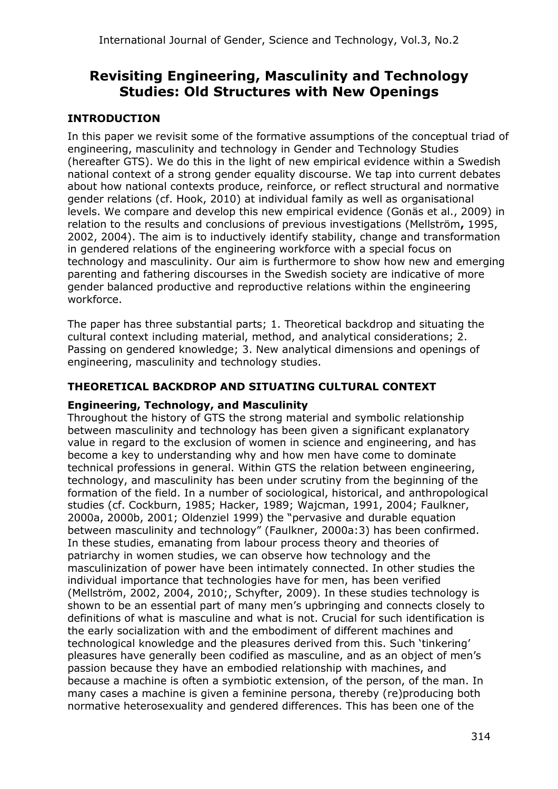# **Revisiting Engineering, Masculinity and Technology Studies: Old Structures with New Openings**

# **INTRODUCTION**

In this paper we revisit some of the formative assumptions of the conceptual triad of engineering, masculinity and technology in Gender and Technology Studies (hereafter GTS). We do this in the light of new empirical evidence within a Swedish national context of a strong gender equality discourse. We tap into current debates about how national contexts produce, reinforce, or reflect structural and normative gender relations (cf. Hook, 2010) at individual family as well as organisational levels. We compare and develop this new empirical evidence (Gonäs et al., 2009) in relation to the results and conclusions of previous investigations (Mellström**,** 1995, 2002, 2004). The aim is to inductively identify stability, change and transformation in gendered relations of the engineering workforce with a special focus on technology and masculinity. Our aim is furthermore to show how new and emerging parenting and fathering discourses in the Swedish society are indicative of more gender balanced productive and reproductive relations within the engineering workforce.

The paper has three substantial parts; 1. Theoretical backdrop and situating the cultural context including material, method, and analytical considerations; 2. Passing on gendered knowledge; 3. New analytical dimensions and openings of engineering, masculinity and technology studies.

## **THEORETICAL BACKDROP AND SITUATING CULTURAL CONTEXT**

## **Engineering, Technology, and Masculinity**

Throughout the history of GTS the strong material and symbolic relationship between masculinity and technology has been given a significant explanatory value in regard to the exclusion of women in science and engineering, and has become a key to understanding why and how men have come to dominate technical professions in general. Within GTS the relation between engineering, technology, and masculinity has been under scrutiny from the beginning of the formation of the field. In a number of sociological, historical, and anthropological studies (cf. Cockburn, 1985; Hacker, 1989; Wajcman, 1991, 2004; Faulkner, 2000a, 2000b, 2001; Oldenziel 1999) the "pervasive and durable equation between masculinity and technology" (Faulkner, 2000a:3) has been confirmed. In these studies, emanating from labour process theory and theories of patriarchy in women studies, we can observe how technology and the masculinization of power have been intimately connected. In other studies the individual importance that technologies have for men, has been verified (Mellström, 2002, 2004, 2010;, Schyfter, 2009). In these studies technology is shown to be an essential part of many men's upbringing and connects closely to definitions of what is masculine and what is not. Crucial for such identification is the early socialization with and the embodiment of different machines and technological knowledge and the pleasures derived from this. Such 'tinkering' pleasures have generally been codified as masculine, and as an object of men's passion because they have an embodied relationship with machines, and because a machine is often a symbiotic extension, of the person, of the man. In many cases a machine is given a feminine persona, thereby (re)producing both normative heterosexuality and gendered differences. This has been one of the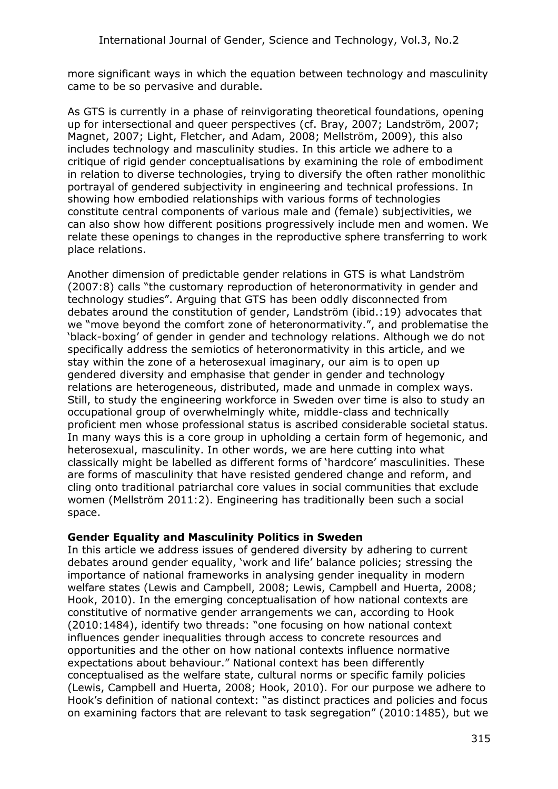more significant ways in which the equation between technology and masculinity came to be so pervasive and durable.

As GTS is currently in a phase of reinvigorating theoretical foundations, opening up for intersectional and queer perspectives (cf. Bray, 2007; Landström, 2007; Magnet, 2007; Light, Fletcher, and Adam, 2008; Mellström, 2009), this also includes technology and masculinity studies. In this article we adhere to a critique of rigid gender conceptualisations by examining the role of embodiment in relation to diverse technologies, trying to diversify the often rather monolithic portrayal of gendered subjectivity in engineering and technical professions. In showing how embodied relationships with various forms of technologies constitute central components of various male and (female) subjectivities, we can also show how different positions progressively include men and women. We relate these openings to changes in the reproductive sphere transferring to work place relations.

Another dimension of predictable gender relations in GTS is what Landström (2007:8) calls "the customary reproduction of heteronormativity in gender and technology studies". Arguing that GTS has been oddly disconnected from debates around the constitution of gender, Landström (ibid.:19) advocates that we "move beyond the comfort zone of heteronormativity.", and problematise the 'black-boxing' of gender in gender and technology relations. Although we do not specifically address the semiotics of heteronormativity in this article, and we stay within the zone of a heterosexual imaginary, our aim is to open up gendered diversity and emphasise that gender in gender and technology relations are heterogeneous, distributed, made and unmade in complex ways. Still, to study the engineering workforce in Sweden over time is also to study an occupational group of overwhelmingly white, middle-class and technically proficient men whose professional status is ascribed considerable societal status. In many ways this is a core group in upholding a certain form of hegemonic, and heterosexual, masculinity. In other words, we are here cutting into what classically might be labelled as different forms of 'hardcore' masculinities. These are forms of masculinity that have resisted gendered change and reform, and cling onto traditional patriarchal core values in social communities that exclude women (Mellström 2011:2). Engineering has traditionally been such a social space.

## **Gender Equality and Masculinity Politics in Sweden**

In this article we address issues of gendered diversity by adhering to current debates around gender equality, 'work and life' balance policies; stressing the importance of national frameworks in analysing gender inequality in modern welfare states (Lewis and Campbell, 2008; Lewis, Campbell and Huerta, 2008; Hook, 2010). In the emerging conceptualisation of how national contexts are constitutive of normative gender arrangements we can, according to Hook (2010:1484), identify two threads: "one focusing on how national context influences gender inequalities through access to concrete resources and opportunities and the other on how national contexts influence normative expectations about behaviour." National context has been differently conceptualised as the welfare state, cultural norms or specific family policies (Lewis, Campbell and Huerta, 2008; Hook, 2010). For our purpose we adhere to Hook's definition of national context: "as distinct practices and policies and focus on examining factors that are relevant to task segregation" (2010:1485), but we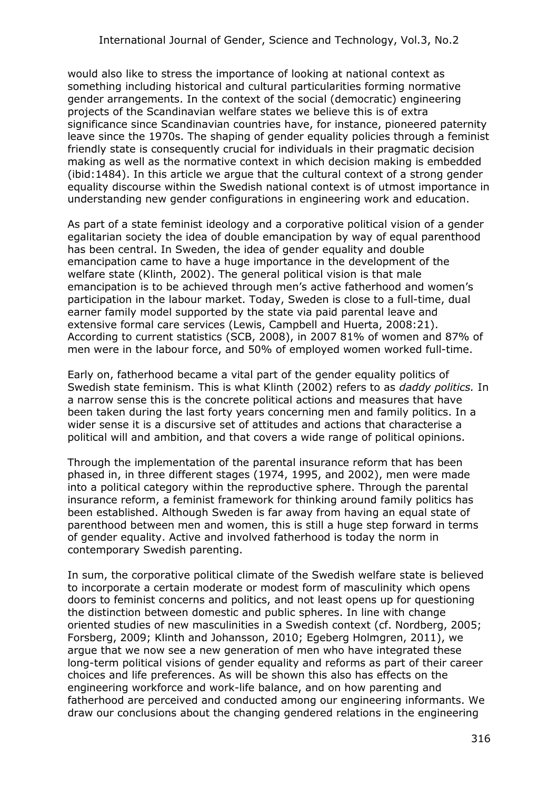would also like to stress the importance of looking at national context as something including historical and cultural particularities forming normative gender arrangements. In the context of the social (democratic) engineering projects of the Scandinavian welfare states we believe this is of extra significance since Scandinavian countries have, for instance, pioneered paternity leave since the 1970s. The shaping of gender equality policies through a feminist friendly state is consequently crucial for individuals in their pragmatic decision making as well as the normative context in which decision making is embedded (ibid:1484). In this article we argue that the cultural context of a strong gender equality discourse within the Swedish national context is of utmost importance in understanding new gender configurations in engineering work and education.

As part of a state feminist ideology and a corporative political vision of a gender egalitarian society the idea of double emancipation by way of equal parenthood has been central. In Sweden, the idea of gender equality and double emancipation came to have a huge importance in the development of the welfare state (Klinth, 2002). The general political vision is that male emancipation is to be achieved through men's active fatherhood and women's participation in the labour market. Today, Sweden is close to a full-time, dual earner family model supported by the state via paid parental leave and extensive formal care services (Lewis, Campbell and Huerta, 2008:21). According to current statistics (SCB, 2008), in 2007 81% of women and 87% of men were in the labour force, and 50% of employed women worked full-time.

Early on, fatherhood became a vital part of the gender equality politics of Swedish state feminism. This is what Klinth (2002) refers to as *daddy politics.* In a narrow sense this is the concrete political actions and measures that have been taken during the last forty years concerning men and family politics. In a wider sense it is a discursive set of attitudes and actions that characterise a political will and ambition, and that covers a wide range of political opinions.

Through the implementation of the parental insurance reform that has been phased in, in three different stages (1974, 1995, and 2002), men were made into a political category within the reproductive sphere. Through the parental insurance reform, a feminist framework for thinking around family politics has been established. Although Sweden is far away from having an equal state of parenthood between men and women, this is still a huge step forward in terms of gender equality. Active and involved fatherhood is today the norm in contemporary Swedish parenting.

In sum, the corporative political climate of the Swedish welfare state is believed to incorporate a certain moderate or modest form of masculinity which opens doors to feminist concerns and politics, and not least opens up for questioning the distinction between domestic and public spheres. In line with change oriented studies of new masculinities in a Swedish context (cf. Nordberg, 2005; Forsberg, 2009; Klinth and Johansson, 2010; Egeberg Holmgren, 2011), we argue that we now see a new generation of men who have integrated these long-term political visions of gender equality and reforms as part of their career choices and life preferences. As will be shown this also has effects on the engineering workforce and work-life balance, and on how parenting and fatherhood are perceived and conducted among our engineering informants. We draw our conclusions about the changing gendered relations in the engineering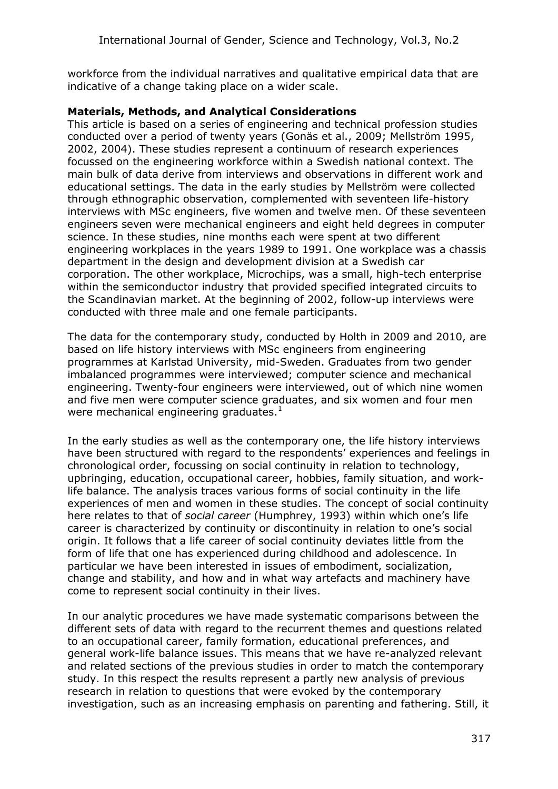workforce from the individual narratives and qualitative empirical data that are indicative of a change taking place on a wider scale.

## **Materials, Methods, and Analytical Considerations**

This article is based on a series of engineering and technical profession studies conducted over a period of twenty years (Gonäs et al., 2009; Mellström 1995, 2002, 2004). These studies represent a continuum of research experiences focussed on the engineering workforce within a Swedish national context. The main bulk of data derive from interviews and observations in different work and educational settings. The data in the early studies by Mellström were collected through ethnographic observation, complemented with seventeen life-history interviews with MSc engineers, five women and twelve men. Of these seventeen engineers seven were mechanical engineers and eight held degrees in computer science. In these studies, nine months each were spent at two different engineering workplaces in the years 1989 to 1991. One workplace was a chassis department in the design and development division at a Swedish car corporation. The other workplace, Microchips, was a small, high-tech enterprise within the semiconductor industry that provided specified integrated circuits to the Scandinavian market. At the beginning of 2002, follow-up interviews were conducted with three male and one female participants.

The data for the contemporary study, conducted by Holth in 2009 and 2010, are based on life history interviews with MSc engineers from engineering programmes at Karlstad University, mid-Sweden. Graduates from two gender imbalanced programmes were interviewed; computer science and mechanical engineering. Twenty-four engineers were interviewed, out of which nine women and five men were computer science graduates, and six women and four men were mechanical engineering graduates. $1$ 

In the early studies as well as the contemporary one, the life history interviews have been structured with regard to the respondents' experiences and feelings in chronological order, focussing on social continuity in relation to technology, upbringing, education, occupational career, hobbies, family situation, and worklife balance. The analysis traces various forms of social continuity in the life experiences of men and women in these studies. The concept of social continuity here relates to that of *social career* (Humphrey, 1993) within which one's life career is characterized by continuity or discontinuity in relation to one's social origin. It follows that a life career of social continuity deviates little from the form of life that one has experienced during childhood and adolescence. In particular we have been interested in issues of embodiment, socialization, change and stability, and how and in what way artefacts and machinery have come to represent social continuity in their lives.

In our analytic procedures we have made systematic comparisons between the different sets of data with regard to the recurrent themes and questions related to an occupational career, family formation, educational preferences, and general work-life balance issues. This means that we have re-analyzed relevant and related sections of the previous studies in order to match the contemporary study. In this respect the results represent a partly new analysis of previous research in relation to questions that were evoked by the contemporary investigation, such as an increasing emphasis on parenting and fathering. Still, it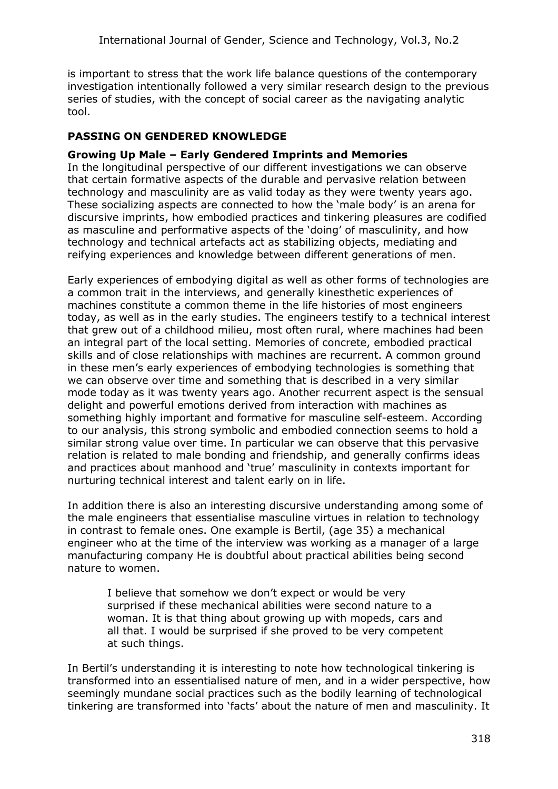is important to stress that the work life balance questions of the contemporary investigation intentionally followed a very similar research design to the previous series of studies, with the concept of social career as the navigating analytic tool.

## **PASSING ON GENDERED KNOWLEDGE**

## **Growing Up Male – Early Gendered Imprints and Memories**

In the longitudinal perspective of our different investigations we can observe that certain formative aspects of the durable and pervasive relation between technology and masculinity are as valid today as they were twenty years ago. These socializing aspects are connected to how the 'male body' is an arena for discursive imprints, how embodied practices and tinkering pleasures are codified as masculine and performative aspects of the 'doing' of masculinity, and how technology and technical artefacts act as stabilizing objects, mediating and reifying experiences and knowledge between different generations of men.

Early experiences of embodying digital as well as other forms of technologies are a common trait in the interviews, and generally kinesthetic experiences of machines constitute a common theme in the life histories of most engineers today, as well as in the early studies. The engineers testify to a technical interest that grew out of a childhood milieu, most often rural, where machines had been an integral part of the local setting. Memories of concrete, embodied practical skills and of close relationships with machines are recurrent. A common ground in these men's early experiences of embodying technologies is something that we can observe over time and something that is described in a very similar mode today as it was twenty years ago. Another recurrent aspect is the sensual delight and powerful emotions derived from interaction with machines as something highly important and formative for masculine self-esteem. According to our analysis, this strong symbolic and embodied connection seems to hold a similar strong value over time. In particular we can observe that this pervasive relation is related to male bonding and friendship, and generally confirms ideas and practices about manhood and 'true' masculinity in contexts important for nurturing technical interest and talent early on in life.

In addition there is also an interesting discursive understanding among some of the male engineers that essentialise masculine virtues in relation to technology in contrast to female ones. One example is Bertil, (age 35) a mechanical engineer who at the time of the interview was working as a manager of a large manufacturing company He is doubtful about practical abilities being second nature to women.

I believe that somehow we don't expect or would be very surprised if these mechanical abilities were second nature to a woman. It is that thing about growing up with mopeds, cars and all that. I would be surprised if she proved to be very competent at such things.

In Bertil's understanding it is interesting to note how technological tinkering is transformed into an essentialised nature of men, and in a wider perspective, how seemingly mundane social practices such as the bodily learning of technological tinkering are transformed into 'facts' about the nature of men and masculinity. It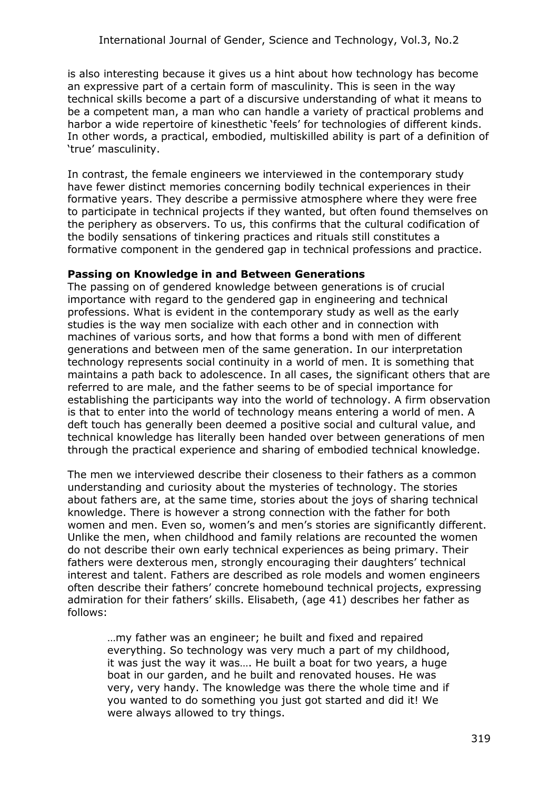is also interesting because it gives us a hint about how technology has become an expressive part of a certain form of masculinity. This is seen in the way technical skills become a part of a discursive understanding of what it means to be a competent man, a man who can handle a variety of practical problems and harbor a wide repertoire of kinesthetic 'feels' for technologies of different kinds. In other words, a practical, embodied, multiskilled ability is part of a definition of 'true' masculinity.

In contrast, the female engineers we interviewed in the contemporary study have fewer distinct memories concerning bodily technical experiences in their formative years. They describe a permissive atmosphere where they were free to participate in technical projects if they wanted, but often found themselves on the periphery as observers. To us, this confirms that the cultural codification of the bodily sensations of tinkering practices and rituals still constitutes a formative component in the gendered gap in technical professions and practice.

## **Passing on Knowledge in and Between Generations**

The passing on of gendered knowledge between generations is of crucial importance with regard to the gendered gap in engineering and technical professions. What is evident in the contemporary study as well as the early studies is the way men socialize with each other and in connection with machines of various sorts, and how that forms a bond with men of different generations and between men of the same generation. In our interpretation technology represents social continuity in a world of men. It is something that maintains a path back to adolescence. In all cases, the significant others that are referred to are male, and the father seems to be of special importance for establishing the participants way into the world of technology. A firm observation is that to enter into the world of technology means entering a world of men. A deft touch has generally been deemed a positive social and cultural value, and technical knowledge has literally been handed over between generations of men through the practical experience and sharing of embodied technical knowledge.

The men we interviewed describe their closeness to their fathers as a common understanding and curiosity about the mysteries of technology. The stories about fathers are, at the same time, stories about the joys of sharing technical knowledge. There is however a strong connection with the father for both women and men. Even so, women's and men's stories are significantly different. Unlike the men, when childhood and family relations are recounted the women do not describe their own early technical experiences as being primary. Their fathers were dexterous men, strongly encouraging their daughters' technical interest and talent. Fathers are described as role models and women engineers often describe their fathers' concrete homebound technical projects, expressing admiration for their fathers' skills. Elisabeth, (age 41) describes her father as follows:

…my father was an engineer; he built and fixed and repaired everything. So technology was very much a part of my childhood, it was just the way it was.... He built a boat for two years, a huge boat in our garden, and he built and renovated houses. He was very, very handy. The knowledge was there the whole time and if you wanted to do something you just got started and did it! We were always allowed to try things.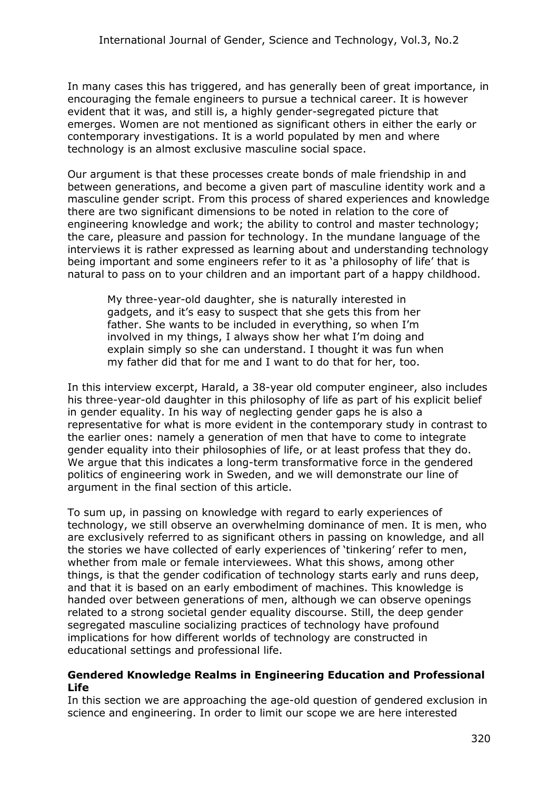In many cases this has triggered, and has generally been of great importance, in encouraging the female engineers to pursue a technical career. It is however evident that it was, and still is, a highly gender-segregated picture that emerges. Women are not mentioned as significant others in either the early or contemporary investigations. It is a world populated by men and where technology is an almost exclusive masculine social space.

Our argument is that these processes create bonds of male friendship in and between generations, and become a given part of masculine identity work and a masculine gender script. From this process of shared experiences and knowledge there are two significant dimensions to be noted in relation to the core of engineering knowledge and work; the ability to control and master technology; the care, pleasure and passion for technology. In the mundane language of the interviews it is rather expressed as learning about and understanding technology being important and some engineers refer to it as 'a philosophy of life' that is natural to pass on to your children and an important part of a happy childhood.

My three-year-old daughter, she is naturally interested in gadgets, and it's easy to suspect that she gets this from her father. She wants to be included in everything, so when I'm involved in my things, I always show her what I'm doing and explain simply so she can understand. I thought it was fun when my father did that for me and I want to do that for her, too.

In this interview excerpt, Harald, a 38-year old computer engineer, also includes his three-year-old daughter in this philosophy of life as part of his explicit belief in gender equality. In his way of neglecting gender gaps he is also a representative for what is more evident in the contemporary study in contrast to the earlier ones: namely a generation of men that have to come to integrate gender equality into their philosophies of life, or at least profess that they do. We argue that this indicates a long-term transformative force in the gendered politics of engineering work in Sweden, and we will demonstrate our line of argument in the final section of this article.

To sum up, in passing on knowledge with regard to early experiences of technology, we still observe an overwhelming dominance of men. It is men, who are exclusively referred to as significant others in passing on knowledge, and all the stories we have collected of early experiences of 'tinkering' refer to men, whether from male or female interviewees. What this shows, among other things, is that the gender codification of technology starts early and runs deep, and that it is based on an early embodiment of machines. This knowledge is handed over between generations of men, although we can observe openings related to a strong societal gender equality discourse. Still, the deep gender segregated masculine socializing practices of technology have profound implications for how different worlds of technology are constructed in educational settings and professional life.

#### **Gendered Knowledge Realms in Engineering Education and Professional Life**

In this section we are approaching the age-old question of gendered exclusion in science and engineering. In order to limit our scope we are here interested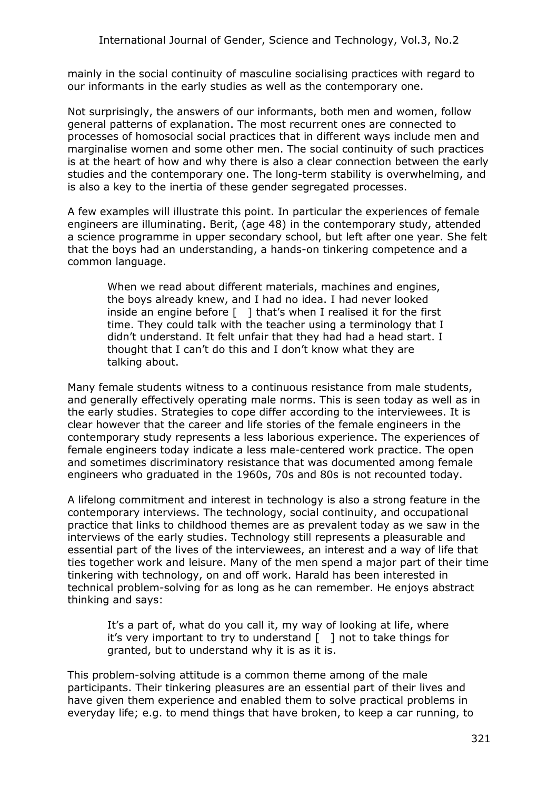mainly in the social continuity of masculine socialising practices with regard to our informants in the early studies as well as the contemporary one.

Not surprisingly, the answers of our informants, both men and women, follow general patterns of explanation. The most recurrent ones are connected to processes of homosocial social practices that in different ways include men and marginalise women and some other men. The social continuity of such practices is at the heart of how and why there is also a clear connection between the early studies and the contemporary one. The long-term stability is overwhelming, and is also a key to the inertia of these gender segregated processes.

A few examples will illustrate this point. In particular the experiences of female engineers are illuminating. Berit, (age 48) in the contemporary study, attended a science programme in upper secondary school, but left after one year. She felt that the boys had an understanding, a hands-on tinkering competence and a common language.

When we read about different materials, machines and engines, the boys already knew, and I had no idea. I had never looked inside an engine before  $\lceil \quad \rceil$  that's when I realised it for the first time. They could talk with the teacher using a terminology that I didn't understand. It felt unfair that they had had a head start. I thought that I can't do this and I don't know what they are talking about.

Many female students witness to a continuous resistance from male students, and generally effectively operating male norms. This is seen today as well as in the early studies. Strategies to cope differ according to the interviewees. It is clear however that the career and life stories of the female engineers in the contemporary study represents a less laborious experience. The experiences of female engineers today indicate a less male-centered work practice. The open and sometimes discriminatory resistance that was documented among female engineers who graduated in the 1960s, 70s and 80s is not recounted today.

A lifelong commitment and interest in technology is also a strong feature in the contemporary interviews. The technology, social continuity, and occupational practice that links to childhood themes are as prevalent today as we saw in the interviews of the early studies. Technology still represents a pleasurable and essential part of the lives of the interviewees, an interest and a way of life that ties together work and leisure. Many of the men spend a major part of their time tinkering with technology, on and off work. Harald has been interested in technical problem-solving for as long as he can remember. He enjoys abstract thinking and says:

It's a part of, what do you call it, my way of looking at life, where it's very important to try to understand  $\lceil \ \ \rceil$  not to take things for granted, but to understand why it is as it is.

This problem-solving attitude is a common theme among of the male participants. Their tinkering pleasures are an essential part of their lives and have given them experience and enabled them to solve practical problems in everyday life; e.g. to mend things that have broken, to keep a car running, to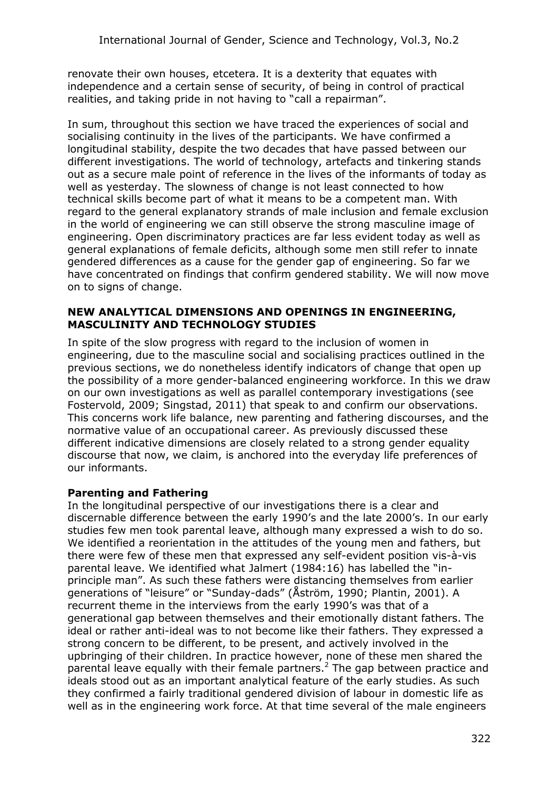renovate their own houses, etcetera. It is a dexterity that equates with independence and a certain sense of security, of being in control of practical realities, and taking pride in not having to "call a repairman".

In sum, throughout this section we have traced the experiences of social and socialising continuity in the lives of the participants. We have confirmed a longitudinal stability, despite the two decades that have passed between our different investigations. The world of technology, artefacts and tinkering stands out as a secure male point of reference in the lives of the informants of today as well as yesterday. The slowness of change is not least connected to how technical skills become part of what it means to be a competent man. With regard to the general explanatory strands of male inclusion and female exclusion in the world of engineering we can still observe the strong masculine image of engineering. Open discriminatory practices are far less evident today as well as general explanations of female deficits, although some men still refer to innate gendered differences as a cause for the gender gap of engineering. So far we have concentrated on findings that confirm gendered stability. We will now move on to signs of change.

#### **NEW ANALYTICAL DIMENSIONS AND OPENINGS IN ENGINEERING, MASCULINITY AND TECHNOLOGY STUDIES**

In spite of the slow progress with regard to the inclusion of women in engineering, due to the masculine social and socialising practices outlined in the previous sections, we do nonetheless identify indicators of change that open up the possibility of a more gender-balanced engineering workforce. In this we draw on our own investigations as well as parallel contemporary investigations (see Fostervold, 2009; Singstad, 2011) that speak to and confirm our observations. This concerns work life balance, new parenting and fathering discourses, and the normative value of an occupational career. As previously discussed these different indicative dimensions are closely related to a strong gender equality discourse that now, we claim, is anchored into the everyday life preferences of our informants.

# **Parenting and Fathering**

In the longitudinal perspective of our investigations there is a clear and discernable difference between the early 1990's and the late 2000's. In our early studies few men took parental leave, although many expressed a wish to do so. We identified a reorientation in the attitudes of the young men and fathers, but there were few of these men that expressed any self-evident position vis-à-vis parental leave. We identified what Jalmert (1984:16) has labelled the "inprinciple man". As such these fathers were distancing themselves from earlier generations of "leisure" or "Sunday-dads" (Åström, 1990; Plantin, 2001). A recurrent theme in the interviews from the early 1990's was that of a generational gap between themselves and their emotionally distant fathers. The ideal or rather anti-ideal was to not become like their fathers. They expressed a strong concern to be different, to be present, and actively involved in the upbringing of their children. In practice however, none of these men shared the parental leave equally with their female partners.[2](#page-13-1) The gap between practice and ideals stood out as an important analytical feature of the early studies. As such they confirmed a fairly traditional gendered division of labour in domestic life as well as in the engineering work force. At that time several of the male engineers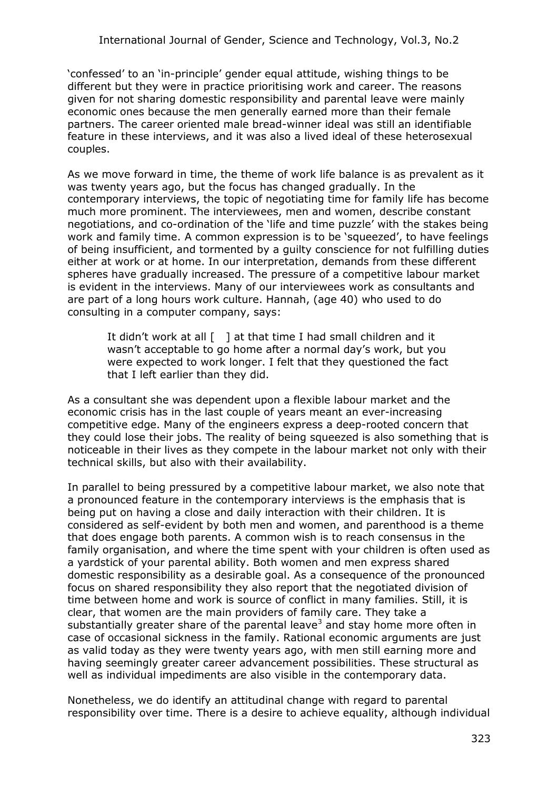'confessed' to an 'in-principle' gender equal attitude, wishing things to be different but they were in practice prioritising work and career. The reasons given for not sharing domestic responsibility and parental leave were mainly economic ones because the men generally earned more than their female partners. The career oriented male bread-winner ideal was still an identifiable feature in these interviews, and it was also a lived ideal of these heterosexual couples.

As we move forward in time, the theme of work life balance is as prevalent as it was twenty years ago, but the focus has changed gradually. In the contemporary interviews, the topic of negotiating time for family life has become much more prominent. The interviewees, men and women, describe constant negotiations, and co-ordination of the 'life and time puzzle' with the stakes being work and family time. A common expression is to be 'squeezed', to have feelings of being insufficient, and tormented by a guilty conscience for not fulfilling duties either at work or at home. In our interpretation, demands from these different spheres have gradually increased. The pressure of a competitive labour market is evident in the interviews. Many of our interviewees work as consultants and are part of a long hours work culture. Hannah, (age 40) who used to do consulting in a computer company, says:

It didn't work at all [ ] at that time I had small children and it wasn't acceptable to go home after a normal day's work, but you were expected to work longer. I felt that they questioned the fact that I left earlier than they did.

As a consultant she was dependent upon a flexible labour market and the economic crisis has in the last couple of years meant an ever-increasing competitive edge. Many of the engineers express a deep-rooted concern that they could lose their jobs. The reality of being squeezed is also something that is noticeable in their lives as they compete in the labour market not only with their technical skills, but also with their availability.

In parallel to being pressured by a competitive labour market, we also note that a pronounced feature in the contemporary interviews is the emphasis that is being put on having a close and daily interaction with their children. It is considered as self-evident by both men and women, and parenthood is a theme that does engage both parents. A common wish is to reach consensus in the family organisation, and where the time spent with your children is often used as a yardstick of your parental ability. Both women and men express shared domestic responsibility as a desirable goal. As a consequence of the pronounced focus on shared responsibility they also report that the negotiated division of time between home and work is source of conflict in many families. Still, it is clear, that women are the main providers of family care. They take a substantially greater share of the parental leave<sup>[3](#page-13-2)</sup> and stay home more often in case of occasional sickness in the family. Rational economic arguments are just as valid today as they were twenty years ago, with men still earning more and having seemingly greater career advancement possibilities. These structural as well as individual impediments are also visible in the contemporary data.

Nonetheless, we do identify an attitudinal change with regard to parental responsibility over time. There is a desire to achieve equality, although individual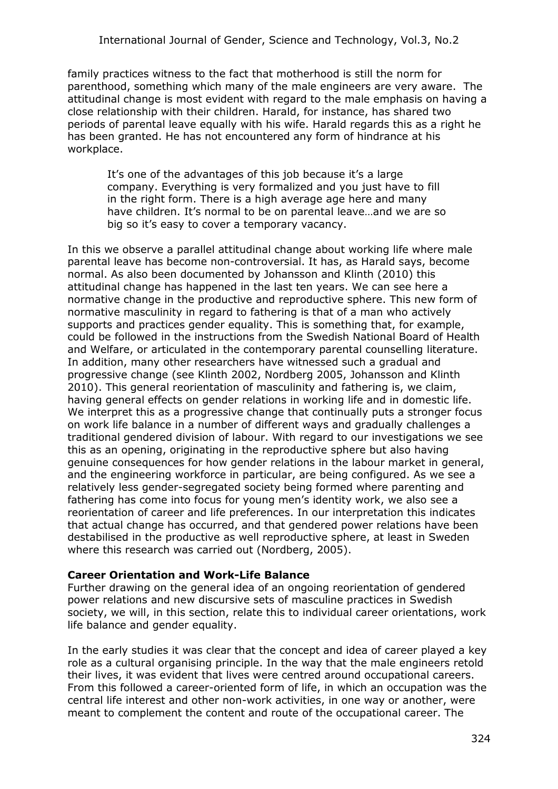family practices witness to the fact that motherhood is still the norm for parenthood, something which many of the male engineers are very aware. The attitudinal change is most evident with regard to the male emphasis on having a close relationship with their children. Harald, for instance, has shared two periods of parental leave equally with his wife. Harald regards this as a right he has been granted. He has not encountered any form of hindrance at his workplace.

It's one of the advantages of this job because it's a large company. Everything is very formalized and you just have to fill in the right form. There is a high average age here and many have children. It's normal to be on parental leave…and we are so big so it's easy to cover a temporary vacancy.

In this we observe a parallel attitudinal change about working life where male parental leave has become non-controversial. It has, as Harald says, become normal. As also been documented by Johansson and Klinth (2010) this attitudinal change has happened in the last ten years. We can see here a normative change in the productive and reproductive sphere. This new form of normative masculinity in regard to fathering is that of a man who actively supports and practices gender equality. This is something that, for example, could be followed in the instructions from the Swedish National Board of Health and Welfare, or articulated in the contemporary parental counselling literature. In addition, many other researchers have witnessed such a gradual and progressive change (see Klinth 2002, Nordberg 2005, Johansson and Klinth 2010). This general reorientation of masculinity and fathering is, we claim, having general effects on gender relations in working life and in domestic life. We interpret this as a progressive change that continually puts a stronger focus on work life balance in a number of different ways and gradually challenges a traditional gendered division of labour. With regard to our investigations we see this as an opening, originating in the reproductive sphere but also having genuine consequences for how gender relations in the labour market in general, and the engineering workforce in particular, are being configured. As we see a relatively less gender-segregated society being formed where parenting and fathering has come into focus for young men's identity work, we also see a reorientation of career and life preferences. In our interpretation this indicates that actual change has occurred, and that gendered power relations have been destabilised in the productive as well reproductive sphere, at least in Sweden where this research was carried out (Nordberg, 2005).

## **Career Orientation and Work-Life Balance**

Further drawing on the general idea of an ongoing reorientation of gendered power relations and new discursive sets of masculine practices in Swedish society, we will, in this section, relate this to individual career orientations, work life balance and gender equality.

In the early studies it was clear that the concept and idea of career played a key role as a cultural organising principle. In the way that the male engineers retold their lives, it was evident that lives were centred around occupational careers. From this followed a career-oriented form of life, in which an occupation was the central life interest and other non-work activities, in one way or another, were meant to complement the content and route of the occupational career. The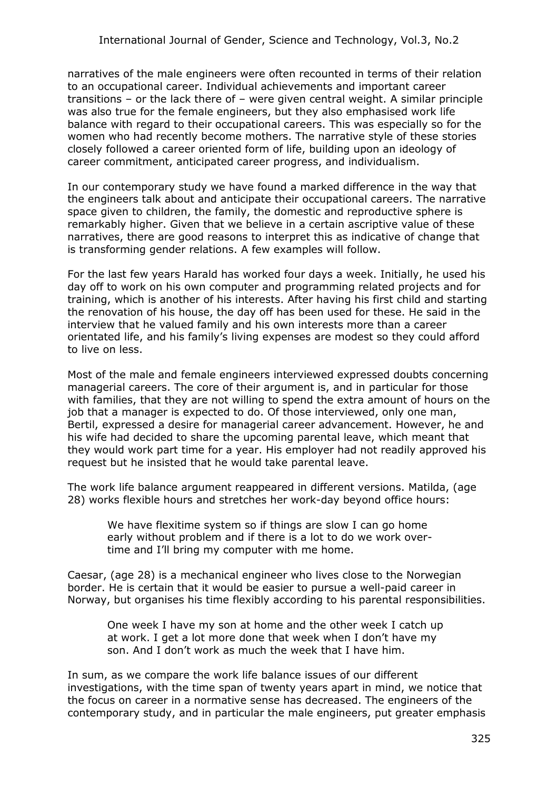narratives of the male engineers were often recounted in terms of their relation to an occupational career. Individual achievements and important career transitions – or the lack there of – were given central weight. A similar principle was also true for the female engineers, but they also emphasised work life balance with regard to their occupational careers. This was especially so for the women who had recently become mothers. The narrative style of these stories closely followed a career oriented form of life, building upon an ideology of career commitment, anticipated career progress, and individualism.

In our contemporary study we have found a marked difference in the way that the engineers talk about and anticipate their occupational careers. The narrative space given to children, the family, the domestic and reproductive sphere is remarkably higher. Given that we believe in a certain ascriptive value of these narratives, there are good reasons to interpret this as indicative of change that is transforming gender relations. A few examples will follow.

For the last few years Harald has worked four days a week. Initially, he used his day off to work on his own computer and programming related projects and for training, which is another of his interests. After having his first child and starting the renovation of his house, the day off has been used for these. He said in the interview that he valued family and his own interests more than a career orientated life, and his family's living expenses are modest so they could afford to live on less.

Most of the male and female engineers interviewed expressed doubts concerning managerial careers. The core of their argument is, and in particular for those with families, that they are not willing to spend the extra amount of hours on the job that a manager is expected to do. Of those interviewed, only one man, Bertil, expressed a desire for managerial career advancement. However, he and his wife had decided to share the upcoming parental leave, which meant that they would work part time for a year. His employer had not readily approved his request but he insisted that he would take parental leave.

The work life balance argument reappeared in different versions. Matilda, (age 28) works flexible hours and stretches her work-day beyond office hours:

We have flexitime system so if things are slow I can go home early without problem and if there is a lot to do we work overtime and I'll bring my computer with me home.

Caesar, (age 28) is a mechanical engineer who lives close to the Norwegian border. He is certain that it would be easier to pursue a well-paid career in Norway, but organises his time flexibly according to his parental responsibilities.

One week I have my son at home and the other week I catch up at work. I get a lot more done that week when I don't have my son. And I don't work as much the week that I have him.

In sum, as we compare the work life balance issues of our different investigations, with the time span of twenty years apart in mind, we notice that the focus on career in a normative sense has decreased. The engineers of the contemporary study, and in particular the male engineers, put greater emphasis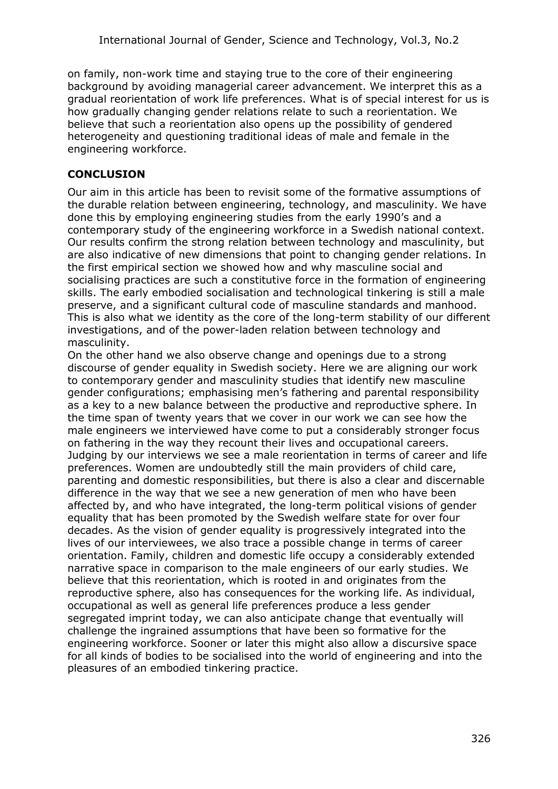<span id="page-13-0"></span>on family, non-work time and staying true to the core of their engineering background by avoiding managerial career advancement. We interpret this as a gradual reorientation of work life preferences. What is of special interest for us is how gradually changing gender relations relate to such a reorientation. We believe that such a reorientation also opens up the possibility of gendered heterogeneity and questioning traditional ideas of male and female in the engineering workforce.

# <span id="page-13-1"></span>**CONCLUSION**

Our aim in this article has been to revisit some of the formative assumptions of the durable relation between engineering, technology, and masculinity. We have done this by employing engineering studies from the early 1990's and a contemporary study of the engineering workforce in a Swedish national context. Our results confirm the strong relation between technology and masculinity, but are also indicative of new dimensions that point to changing gender relations. In the first empirical section we showed how and why masculine social and socialising practices are such a constitutive force in the formation of engineering skills. The early embodied socialisation and technological tinkering is still a male preserve, and a significant cultural code of masculine standards and manhood. This is also what we identity as the core of the long-term stability of our different investigations, and of the power-laden relation between technology and masculinity.

<span id="page-13-2"></span>On the other hand we also observe change and openings due to a strong discourse of gender equality in Swedish society. Here we are aligning our work to contemporary gender and masculinity studies that identify new masculine gender configurations; emphasising men's fathering and parental responsibility as a key to a new balance between the productive and reproductive sphere. In the time span of twenty years that we cover in our work we can see how the male engineers we interviewed have come to put a considerably stronger focus on fathering in the way they recount their lives and occupational careers. Judging by our interviews we see a male reorientation in terms of career and life preferences. Women are undoubtedly still the main providers of child care, parenting and domestic responsibilities, but there is also a clear and discernable difference in the way that we see a new generation of men who have been affected by, and who have integrated, the long-term political visions of gender equality that has been promoted by the Swedish welfare state for over four decades. As the vision of gender equality is progressively integrated into the lives of our interviewees, we also trace a possible change in terms of career orientation. Family, children and domestic life occupy a considerably extended narrative space in comparison to the male engineers of our early studies. We believe that this reorientation, which is rooted in and originates from the reproductive sphere, also has consequences for the working life. As individual, occupational as well as general life preferences produce a less gender segregated imprint today, we can also anticipate change that eventually will challenge the ingrained assumptions that have been so formative for the engineering workforce. Sooner or later this might also allow a discursive space for all kinds of bodies to be socialised into the world of engineering and into the pleasures of an embodied tinkering practice.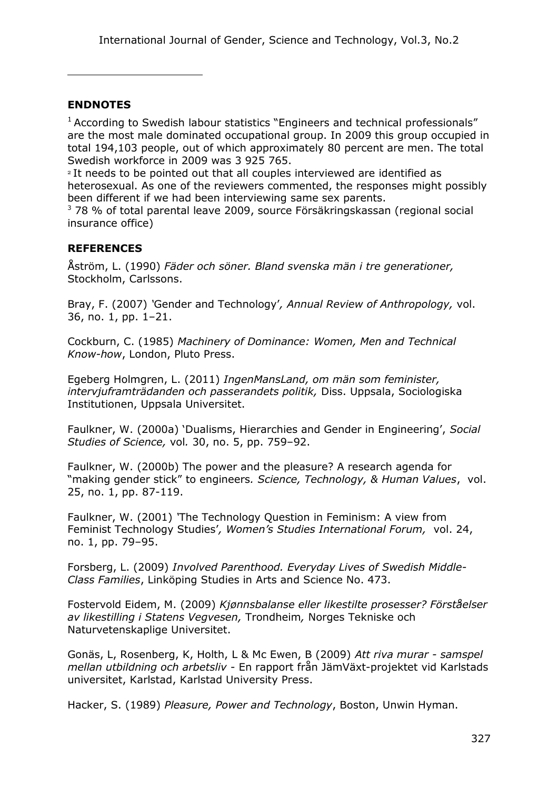## **ENDNOTES**

 $1$  According to Swedish labour statistics "Engineers and technical professionals" are the most male dominated occupational group. In 2009 this group occupied in total 194,103 people, out of which approximately 80 percent are men. The total Swedish workforce in 2009 was 3 925 765.

<sup>2</sup> It needs to be pointed out that all couples interviewed are identified as heterosexual. As one of the reviewers commented, the responses might possibly been different if we had been interviewing same sex parents.

<sup>3</sup> 78 % of total parental leave 2009, source Försäkringskassan (regional social insurance office)

## **REFERENCES**

Åström, L. (1990) *Fäder och söner. Bland svenska män i tre generationer,* Stockholm, Carlssons.

Bray, F. (2007) *'*Gender and Technology'*, Annual Review of Anthropology,* vol. 36, no. 1, pp. 1–21.

Cockburn, C. (1985) *Machinery of Dominance: Women, Men and Technical Know-how*, London, Pluto Press.

Egeberg Holmgren, L. (2011) *IngenMansLand, om män som feminister, intervjuframträdanden och passerandets politik,* Diss. Uppsala, Sociologiska Institutionen, Uppsala Universitet.

Faulkner, W. (2000a) 'Dualisms, Hierarchies and Gender in Engineering', *Social Studies of Science,* vol*.* 30, no. 5, pp. 759–92.

Faulkner, W. (2000b) The power and the pleasure? A research agenda for "making gender stick" to engineers*. Science, Technology, & Human Values*, vol. 25, no. 1, pp. 87-119.

Faulkner, W. (2001) *'*The Technology Question in Feminism: A view from Feminist Technology Studies'*, Women's Studies International Forum,* vol. 24, no. 1, pp. 79–95.

Forsberg, L. (2009) *Involved Parenthood. Everyday Lives of Swedish Middle-Class Families*, Linköping Studies in Arts and Science No. 473.

Fostervold Eidem, M. (2009) *Kjønnsbalanse eller likestilte prosesser? Förståelser av likestilling i Statens Vegvesen,* Trondheim*,* Norges Tekniske och Naturvetenskaplige Universitet.

Gonäs, L, Rosenberg, K, Holth, L & Mc Ewen, B (2009) *[Att riva murar - samspel](http://www.kau.se/forskning/?to_do=show_result&id=10091) mellan utbildning och arbetsliv* [- En rapport från JämVäxt-projektet vid Karlstads](http://www.kau.se/forskning/?to_do=show_result&id=10091) [universitet,](http://www.kau.se/forskning/?to_do=show_result&id=10091) Karlstad, Karlstad University Press.

Hacker, S. (1989) *Pleasure, Power and Technology*, Boston, Unwin Hyman.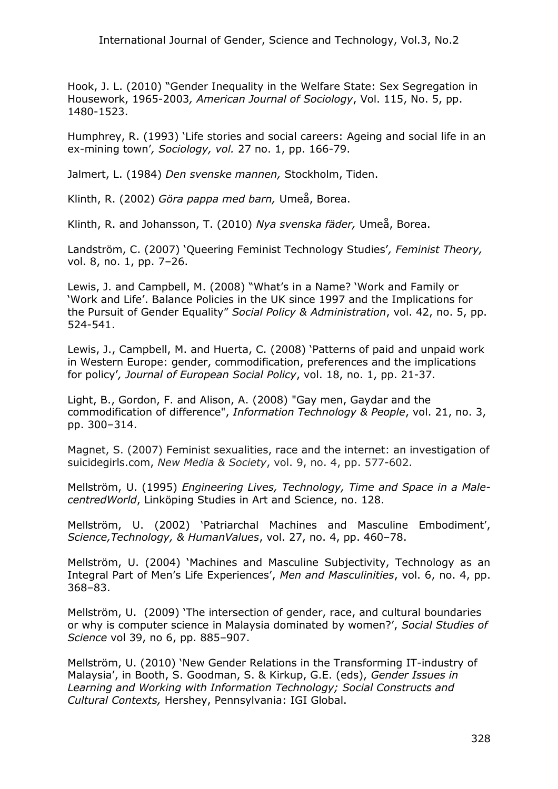Hook, J. L. (2010) "Gender Inequality in the Welfare State: Sex Segregation in Housework, 1965-2003*, American Journal of Sociology*, Vol. 115, No. 5, pp. 1480-1523.

Humphrey, R. (1993) 'Life stories and social careers: Ageing and social life in an ex-mining town'*, Sociology, vol.* 27 no. 1, pp. 166-79.

Jalmert, L. (1984) *Den svenske mannen,* Stockholm, Tiden.

Klinth, R. (2002) *Göra pappa med barn,* Umeå, Borea.

Klinth, R. and Johansson, T. (2010) *Nya svenska fäder,* Umeå, Borea.

Landström, C. (2007) 'Queering Feminist Technology Studies'*, Feminist Theory,* vol. 8, no. 1, pp. 7–26.

Lewis, J. and Campbell, M. (2008) "What's in a Name? 'Work and Family or 'Work and Life'. Balance Policies in the UK since 1997 and the Implications for the Pursuit of Gender Equality" *Social Policy & Administration*, vol. 42, no. 5, pp. 524-541.

Lewis, J., Campbell, M. and Huerta, C. (2008) 'Patterns of paid and unpaid work in Western Europe: gender, commodification, preferences and the implications for policy'*, Journal of European Social Policy*, vol. 18, no. 1, pp. 21-37.

Light, B., Gordon, F. and Alison, A. (2008) "Gay men, Gaydar and the commodification of difference", *Information Technology & People*, vol. 21, no. 3, pp. 300–314.

Magnet, S. (2007) Feminist sexualities, race and the internet: an investigation of suicidegirls.com, *New Media & Society*, vol. 9, no. 4, pp. 577-602.

Mellström, U. (1995) *Engineering Lives, Technology, Time and Space in a MalecentredWorld*, Linköping Studies in Art and Science, no. 128.

Mellström, U. (2002) 'Patriarchal Machines and Masculine Embodiment', *Science,Technology, & HumanValues*, vol. 27, no. 4, pp. 460–78.

Mellström, U. (2004) 'Machines and Masculine Subjectivity, Technology as an Integral Part of Men's Life Experiences', *Men and Masculinities*, vol. 6, no. 4, pp. 368–83.

Mellström, U. (2009) 'The intersection of gender, race, and cultural boundaries or why is computer science in Malaysia dominated by women?', *Social Studies of Science* vol 39, no 6, pp. 885–907.

Mellström, U. (2010) 'New Gender Relations in the Transforming IT-industry of Malaysia', in Booth, S. Goodman, S. & Kirkup, G.E. (eds), *Gender Issues in Learning and Working with Information Technology; Social Constructs and Cultural Contexts,* Hershey, Pennsylvania: IGI Global.